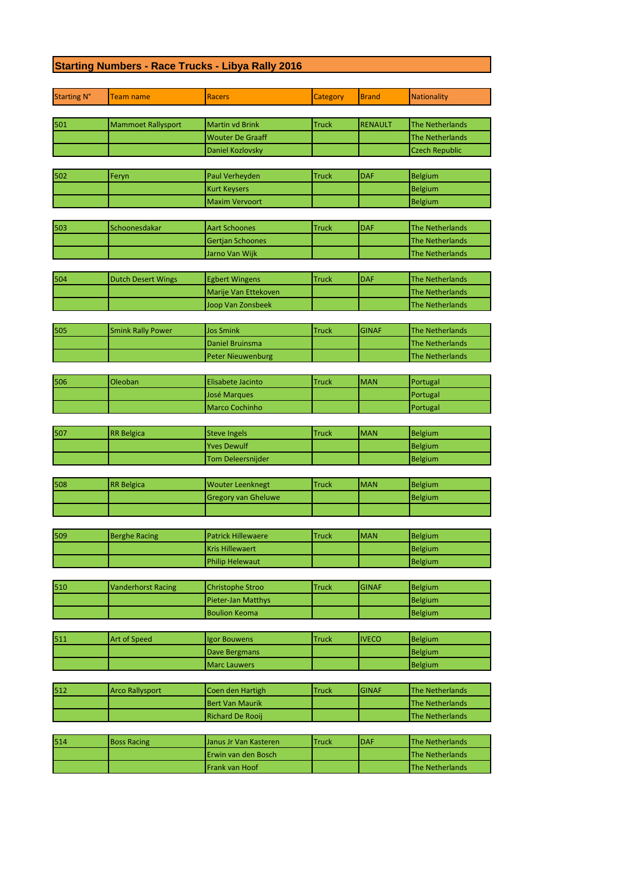## **Starting Numbers - Race Trucks - Libya Rally 2016**

| <b>Starting N°</b> | Team name                 | <b>Racers</b>              | Category     | <b>Brand</b>   | <b>Nationality</b>                               |
|--------------------|---------------------------|----------------------------|--------------|----------------|--------------------------------------------------|
| 501                |                           | <b>Martin vd Brink</b>     | <b>Truck</b> |                |                                                  |
|                    | <b>Mammoet Rallysport</b> | <b>Wouter De Graaff</b>    |              | <b>RENAULT</b> | <b>The Netherlands</b><br><b>The Netherlands</b> |
|                    |                           |                            |              |                | <b>Czech Republic</b>                            |
|                    |                           | Daniel Kozlovsky           |              |                |                                                  |
| 502                | Feryn                     | Paul Verheyden             | <b>Truck</b> | <b>DAF</b>     | Belgium                                          |
|                    |                           | <b>Kurt Keysers</b>        |              |                | Belgium                                          |
|                    |                           | <b>Maxim Vervoort</b>      |              |                | Belgium                                          |
|                    |                           |                            |              |                |                                                  |
| 503                | Schoonesdakar             | <b>Aart Schoones</b>       | <b>Truck</b> | DAF            | <b>The Netherlands</b>                           |
|                    |                           | Gertjan Schoones           |              |                | <b>The Netherlands</b>                           |
|                    |                           | Jarno Van Wijk             |              |                | <b>The Netherlands</b>                           |
|                    |                           |                            |              |                |                                                  |
| 504                | <b>Dutch Desert Wings</b> | <b>Egbert Wingens</b>      | <b>Truck</b> | DAF            | <b>The Netherlands</b>                           |
|                    |                           | Marije Van Ettekoven       |              |                | <b>The Netherlands</b>                           |
|                    |                           | Joop Van Zonsbeek          |              |                | <b>The Netherlands</b>                           |
| 505                | <b>Smink Rally Power</b>  | <b>Jos Smink</b>           | Truck        | <b>GINAF</b>   | <b>The Netherlands</b>                           |
|                    |                           | Daniel Bruinsma            |              |                | <b>The Netherlands</b>                           |
|                    |                           | <b>Peter Nieuwenburg</b>   |              |                | <b>The Netherlands</b>                           |
|                    |                           |                            |              |                |                                                  |
| 506                | Oleoban                   | Elisabete Jacinto          | <b>Truck</b> | <b>MAN</b>     | Portugal                                         |
|                    |                           | <b>José Marques</b>        |              |                | Portugal                                         |
|                    |                           | Marco Cochinho             |              |                | Portugal                                         |
|                    |                           |                            |              |                |                                                  |
| 507                | <b>RR Belgica</b>         | <b>Steve Ingels</b>        | <b>Truck</b> | <b>MAN</b>     | Belgium                                          |
|                    |                           | <b>Yves Dewulf</b>         |              |                | Belgium                                          |
|                    |                           | Tom Deleersnijder          |              |                | Belgium                                          |
|                    |                           |                            |              |                |                                                  |
| 508                | <b>RR Belgica</b>         | <b>Wouter Leenknegt</b>    | <b>Truck</b> | <b>MAN</b>     | Belgium                                          |
|                    |                           | <b>Gregory van Gheluwe</b> |              |                | Belgium                                          |
|                    |                           |                            |              |                |                                                  |
| 509                |                           | <b>Patrick Hillewaere</b>  |              | <b>MAN</b>     |                                                  |
|                    | <b>Berghe Racing</b>      | <b>Kris Hillewaert</b>     | <b>Truck</b> |                | Belgium                                          |
|                    |                           | <b>Philip Helewaut</b>     |              |                | Belgium                                          |
|                    |                           |                            |              |                | Belgium                                          |
| 510                | <b>Vanderhorst Racing</b> | <b>Christophe Stroo</b>    | <b>Truck</b> | <b>GINAF</b>   | Belgium                                          |
|                    |                           | Pieter-Jan Matthys         |              |                | Belgium                                          |
|                    |                           | <b>Boulion Keoma</b>       |              |                | Belgium                                          |
|                    |                           |                            |              |                |                                                  |
| 511                | Art of Speed              | Igor Bouwens               | <b>Truck</b> | <b>IVECO</b>   | Belgium                                          |
|                    |                           | <b>Dave Bergmans</b>       |              |                | Belgium                                          |
|                    |                           | <b>Marc Lauwers</b>        |              |                | Belgium                                          |
|                    |                           |                            |              |                |                                                  |
| 512                | <b>Arco Rallysport</b>    | Coen den Hartigh           | <b>Truck</b> | <b>GINAF</b>   | The Netherlands                                  |
|                    |                           | <b>Bert Van Maurik</b>     |              |                | <b>The Netherlands</b>                           |
|                    |                           | Richard De Rooij           |              |                | The Netherlands                                  |
|                    |                           |                            |              |                |                                                  |
| 514                | <b>Boss Racing</b>        | Janus Jr Van Kasteren      | Truck        | <b>DAF</b>     | The Netherlands                                  |
|                    |                           | Erwin van den Bosch        |              |                | <b>The Netherlands</b>                           |
|                    |                           | Frank van Hoof             |              |                | The Netherlands                                  |